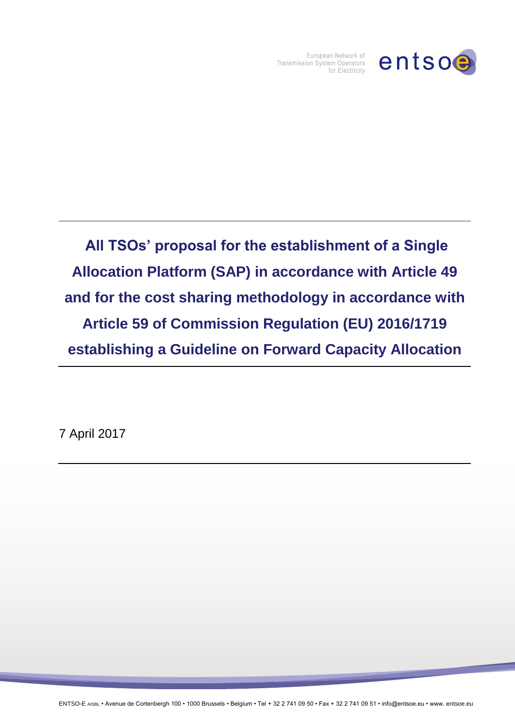

European Network of Transmission System Operators for Electricity

**All TSOs' proposal for the establishment of a Single Allocation Platform (SAP) in accordance with Article 49 and for the cost sharing methodology in accordance with Article 59 of Commission Regulation (EU) 2016/1719 establishing a Guideline on Forward Capacity Allocation** 

7 April 2017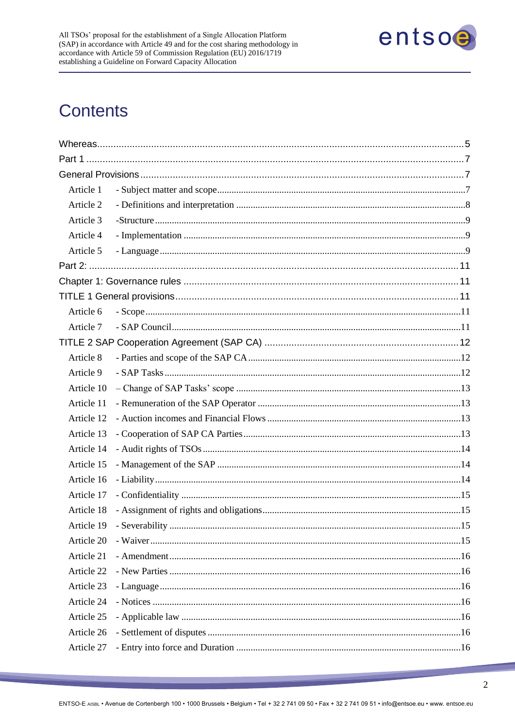

# **Contents**

| Article 1  |    |  |
|------------|----|--|
| Article 2  |    |  |
| Article 3  |    |  |
| Article 4  |    |  |
| Article 5  |    |  |
|            |    |  |
|            |    |  |
|            |    |  |
| Article 6  |    |  |
| Article 7  |    |  |
|            |    |  |
| Article 8  |    |  |
| Article 9  |    |  |
| Article 10 |    |  |
| Article 11 |    |  |
| Article 12 |    |  |
| Article 13 |    |  |
| Article 14 |    |  |
| Article 15 |    |  |
| Article 16 |    |  |
| Article 17 |    |  |
| Article 18 |    |  |
|            | 15 |  |
| Article 20 |    |  |
| Article 21 |    |  |
| Article 22 |    |  |
| Article 23 |    |  |
| Article 24 |    |  |
| Article 25 |    |  |
| Article 26 |    |  |
| Article 27 |    |  |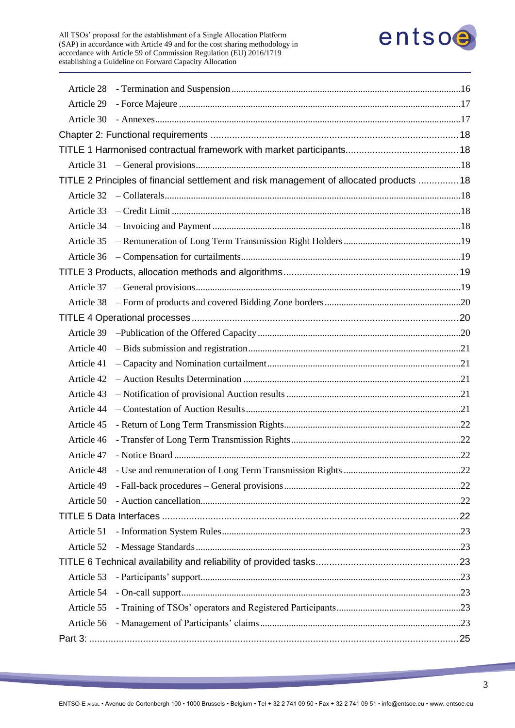

| Article 28 |                                                                                          |  |
|------------|------------------------------------------------------------------------------------------|--|
| Article 29 |                                                                                          |  |
|            |                                                                                          |  |
|            |                                                                                          |  |
|            |                                                                                          |  |
|            |                                                                                          |  |
|            | TITLE 2 Principles of financial settlement and risk management of allocated products  18 |  |
|            |                                                                                          |  |
|            |                                                                                          |  |
|            |                                                                                          |  |
|            |                                                                                          |  |
|            |                                                                                          |  |
|            |                                                                                          |  |
|            |                                                                                          |  |
|            |                                                                                          |  |
|            |                                                                                          |  |
| Article 39 |                                                                                          |  |
| Article 40 |                                                                                          |  |
| Article 41 |                                                                                          |  |
| Article 42 |                                                                                          |  |
| Article 43 |                                                                                          |  |
| Article 44 |                                                                                          |  |
| Article 45 |                                                                                          |  |
| Article 46 |                                                                                          |  |
| Article 47 |                                                                                          |  |
| Article 48 |                                                                                          |  |
| Article 49 |                                                                                          |  |
| Article 50 |                                                                                          |  |
|            |                                                                                          |  |
| Article 51 |                                                                                          |  |
| Article 52 |                                                                                          |  |
|            |                                                                                          |  |
| Article 53 |                                                                                          |  |
| Article 54 |                                                                                          |  |
| Article 55 |                                                                                          |  |
| Article 56 |                                                                                          |  |
|            |                                                                                          |  |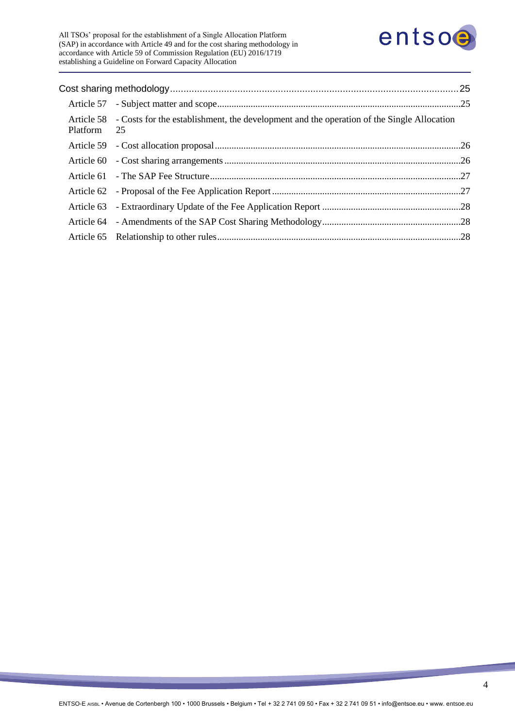

All TSOs' proposal for the establishment of a Single Allocation Platform (SAP) in accordance with Article 49 and for the cost sharing methodology in accordance with Article 59 of Commission Regulation (EU) 2016/1719 establishing a Guideline on Forward Capacity Allocation

| Platform 25 | Article 58 - Costs for the establishment, the development and the operation of the Single Allocation |  |
|-------------|------------------------------------------------------------------------------------------------------|--|
|             |                                                                                                      |  |
|             |                                                                                                      |  |
|             |                                                                                                      |  |
|             |                                                                                                      |  |
|             |                                                                                                      |  |
|             |                                                                                                      |  |
|             |                                                                                                      |  |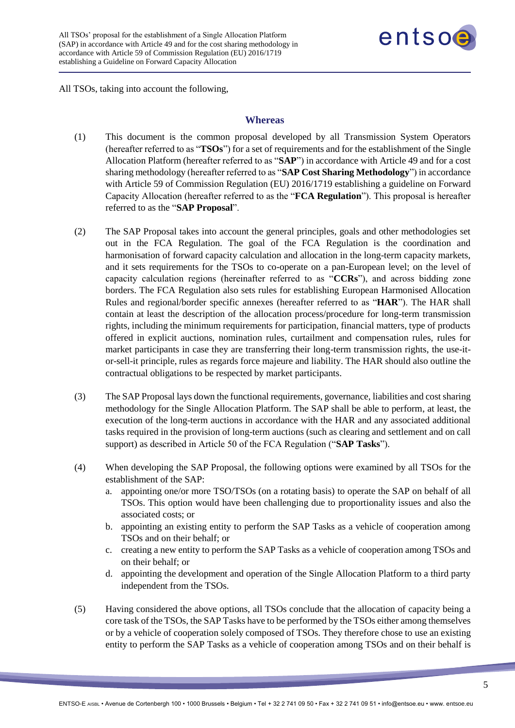

<span id="page-4-0"></span>All TSOs, taking into account the following,

#### **Whereas**

- (1) This document is the common proposal developed by all Transmission System Operators (hereafter referred to as "**TSOs**") for a set of requirements and for the establishment of the Single Allocation Platform (hereafter referred to as "**SAP**") in accordance with Article 49 and for a cost sharing methodology (hereafter referred to as "**SAP Cost Sharing Methodology**") in accordance with Article 59 of Commission Regulation (EU) 2016/1719 establishing a guideline on Forward Capacity Allocation (hereafter referred to as the "**FCA Regulation**"). This proposal is hereafter referred to as the "**SAP Proposal**".
- (2) The SAP Proposal takes into account the general principles, goals and other methodologies set out in the FCA Regulation. The goal of the FCA Regulation is the coordination and harmonisation of forward capacity calculation and allocation in the long-term capacity markets, and it sets requirements for the TSOs to co-operate on a pan-European level; on the level of capacity calculation regions (hereinafter referred to as "**CCRs**"), and across bidding zone borders. The FCA Regulation also sets rules for establishing European Harmonised Allocation Rules and regional/border specific annexes (hereafter referred to as "**HAR**"). The HAR shall contain at least the description of the allocation process/procedure for long-term transmission rights, including the minimum requirements for participation, financial matters, type of products offered in explicit auctions, nomination rules, curtailment and compensation rules, rules for market participants in case they are transferring their long-term transmission rights, the use-itor-sell-it principle, rules as regards force majeure and liability. The HAR should also outline the contractual obligations to be respected by market participants.
- (3) The SAP Proposal lays down the functional requirements, governance, liabilities and cost sharing methodology for the Single Allocation Platform. The SAP shall be able to perform, at least, the execution of the long-term auctions in accordance with the HAR and any associated additional tasks required in the provision of long-term auctions (such as clearing and settlement and on call support) as described in Article 50 of the FCA Regulation ("**SAP Tasks**").
- (4) When developing the SAP Proposal, the following options were examined by all TSOs for the establishment of the SAP:
	- a. appointing one/or more TSO/TSOs (on a rotating basis) to operate the SAP on behalf of all TSOs. This option would have been challenging due to proportionality issues and also the associated costs; or
	- b. appointing an existing entity to perform the SAP Tasks as a vehicle of cooperation among TSOs and on their behalf; or
	- c. creating a new entity to perform the SAP Tasks as a vehicle of cooperation among TSOs and on their behalf; or
	- d. appointing the development and operation of the Single Allocation Platform to a third party independent from the TSOs.
- (5) Having considered the above options, all TSOs conclude that the allocation of capacity being a core task of the TSOs, the SAP Tasks have to be performed by the TSOs either among themselves or by a vehicle of cooperation solely composed of TSOs. They therefore chose to use an existing entity to perform the SAP Tasks as a vehicle of cooperation among TSOs and on their behalf is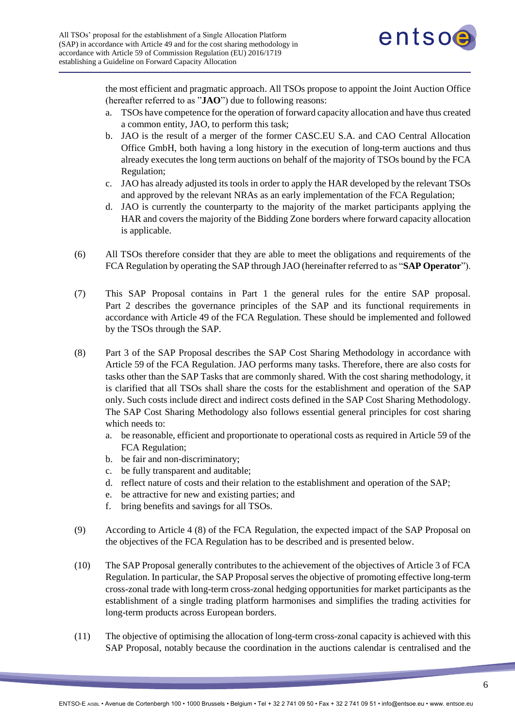

the most efficient and pragmatic approach. All TSOs propose to appoint the Joint Auction Office (hereafter referred to as "**JAO**") due to following reasons:

- a. TSOs have competence for the operation of forward capacity allocation and have thus created a common entity, JAO, to perform this task;
- b. JAO is the result of a merger of the former CASC.EU S.A. and CAO Central Allocation Office GmbH, both having a long history in the execution of long-term auctions and thus already executes the long term auctions on behalf of the majority of TSOs bound by the FCA Regulation;
- c. JAO has already adjusted its tools in order to apply the HAR developed by the relevant TSOs and approved by the relevant NRAs as an early implementation of the FCA Regulation;
- d. JAO is currently the counterparty to the majority of the market participants applying the HAR and covers the majority of the Bidding Zone borders where forward capacity allocation is applicable.
- (6) All TSOs therefore consider that they are able to meet the obligations and requirements of the FCA Regulation by operating the SAP through JAO (hereinafter referred to as "**SAP Operator**").
- (7) This SAP Proposal contains in Part 1 the general rules for the entire SAP proposal. Part 2 describes the governance principles of the SAP and its functional requirements in accordance with Article 49 of the FCA Regulation. These should be implemented and followed by the TSOs through the SAP.
- (8) Part 3 of the SAP Proposal describes the SAP Cost Sharing Methodology in accordance with Article 59 of the FCA Regulation. JAO performs many tasks. Therefore, there are also costs for tasks other than the SAP Tasks that are commonly shared. With the cost sharing methodology, it is clarified that all TSOs shall share the costs for the establishment and operation of the SAP only. Such costs include direct and indirect costs defined in the SAP Cost Sharing Methodology. The SAP Cost Sharing Methodology also follows essential general principles for cost sharing which needs to:
	- a. be reasonable, efficient and proportionate to operational costs as required in Article 59 of the FCA Regulation;
	- b. be fair and non-discriminatory;
	- c. be fully transparent and auditable;
	- d. reflect nature of costs and their relation to the establishment and operation of the SAP;
	- e. be attractive for new and existing parties; and
	- f. bring benefits and savings for all TSOs.
- (9) According to Article 4 (8) of the FCA Regulation, the expected impact of the SAP Proposal on the objectives of the FCA Regulation has to be described and is presented below.
- (10) The SAP Proposal generally contributes to the achievement of the objectives of Article 3 of FCA Regulation. In particular, the SAP Proposal serves the objective of promoting effective long-term cross-zonal trade with long-term cross-zonal hedging opportunities for market participants as the establishment of a single trading platform harmonises and simplifies the trading activities for long-term products across European borders.
- (11) The objective of optimising the allocation of long-term cross-zonal capacity is achieved with this SAP Proposal, notably because the coordination in the auctions calendar is centralised and the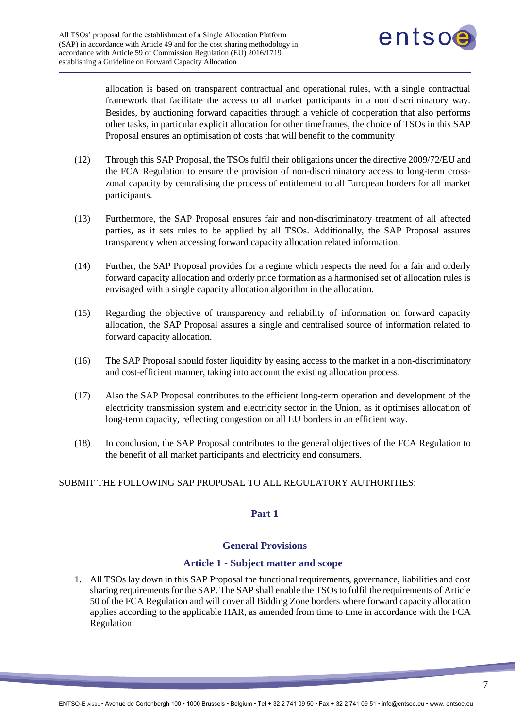

allocation is based on transparent contractual and operational rules, with a single contractual framework that facilitate the access to all market participants in a non discriminatory way. Besides, by auctioning forward capacities through a vehicle of cooperation that also performs other tasks, in particular explicit allocation for other timeframes, the choice of TSOs in this SAP Proposal ensures an optimisation of costs that will benefit to the community

- (12) Through this SAP Proposal, the TSOs fulfil their obligations under the directive 2009/72/EU and the FCA Regulation to ensure the provision of non-discriminatory access to long-term crosszonal capacity by centralising the process of entitlement to all European borders for all market participants.
- (13) Furthermore, the SAP Proposal ensures fair and non-discriminatory treatment of all affected parties, as it sets rules to be applied by all TSOs. Additionally, the SAP Proposal assures transparency when accessing forward capacity allocation related information.
- (14) Further, the SAP Proposal provides for a regime which respects the need for a fair and orderly forward capacity allocation and orderly price formation as a harmonised set of allocation rules is envisaged with a single capacity allocation algorithm in the allocation.
- (15) Regarding the objective of transparency and reliability of information on forward capacity allocation, the SAP Proposal assures a single and centralised source of information related to forward capacity allocation.
- (16) The SAP Proposal should foster liquidity by easing access to the market in a non-discriminatory and cost-efficient manner, taking into account the existing allocation process.
- (17) Also the SAP Proposal contributes to the efficient long-term operation and development of the electricity transmission system and electricity sector in the Union, as it optimises allocation of long-term capacity, reflecting congestion on all EU borders in an efficient way.
- (18) In conclusion, the SAP Proposal contributes to the general objectives of the FCA Regulation to the benefit of all market participants and electricity end consumers.

## <span id="page-6-1"></span><span id="page-6-0"></span>SUBMIT THE FOLLOWING SAP PROPOSAL TO ALL REGULATORY AUTHORITIES:

## **Part 1**

#### <span id="page-6-2"></span>**General Provisions**

## **Article 1 - Subject matter and scope**

1. All TSOs lay down in this SAP Proposal the functional requirements, governance, liabilities and cost sharing requirements for the SAP. The SAP shall enable the TSOs to fulfil the requirements of Article 50 of the FCA Regulation and will cover all Bidding Zone borders where forward capacity allocation applies according to the applicable HAR, as amended from time to time in accordance with the FCA Regulation.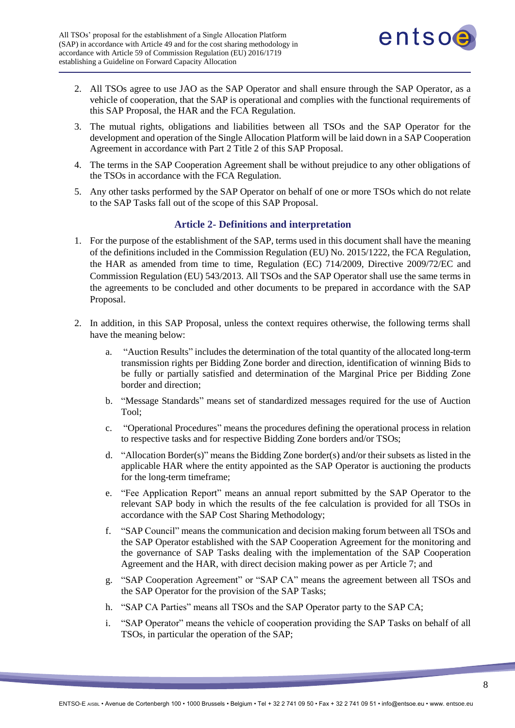

- 2. All TSOs agree to use JAO as the SAP Operator and shall ensure through the SAP Operator, as a vehicle of cooperation, that the SAP is operational and complies with the functional requirements of this SAP Proposal, the HAR and the FCA Regulation.
- 3. The mutual rights, obligations and liabilities between all TSOs and the SAP Operator for the development and operation of the Single Allocation Platform will be laid down in a SAP Cooperation Agreement in accordance with Part 2 Title 2 of this SAP Proposal.
- 4. The terms in the SAP Cooperation Agreement shall be without prejudice to any other obligations of the TSOs in accordance with the FCA Regulation.
- 5. Any other tasks performed by the SAP Operator on behalf of one or more TSOs which do not relate to the SAP Tasks fall out of the scope of this SAP Proposal.

## **Article 2- Definitions and interpretation**

- <span id="page-7-0"></span>1. For the purpose of the establishment of the SAP, terms used in this document shall have the meaning of the definitions included in the Commission Regulation (EU) No. 2015/1222, the FCA Regulation, the HAR as amended from time to time, Regulation (EC) 714/2009, Directive 2009/72/EC and Commission Regulation (EU) 543/2013. All TSOs and the SAP Operator shall use the same terms in the agreements to be concluded and other documents to be prepared in accordance with the SAP Proposal.
- 2. In addition, in this SAP Proposal, unless the context requires otherwise, the following terms shall have the meaning below:
	- a. "Auction Results" includes the determination of the total quantity of the allocated long-term transmission rights per Bidding Zone border and direction, identification of winning Bids to be fully or partially satisfied and determination of the Marginal Price per Bidding Zone border and direction;
	- b. "Message Standards" means set of standardized messages required for the use of Auction Tool;
	- c. "Operational Procedures" means the procedures defining the operational process in relation to respective tasks and for respective Bidding Zone borders and/or TSOs;
	- d. "Allocation Border(s)" means the Bidding Zone border(s) and/or their subsets as listed in the applicable HAR where the entity appointed as the SAP Operator is auctioning the products for the long-term timeframe;
	- e. "Fee Application Report" means an annual report submitted by the SAP Operator to the relevant SAP body in which the results of the fee calculation is provided for all TSOs in accordance with the SAP Cost Sharing Methodology;
	- f. "SAP Council" means the communication and decision making forum between all TSOs and the SAP Operator established with the SAP Cooperation Agreement for the monitoring and the governance of SAP Tasks dealing with the implementation of the SAP Cooperation Agreement and the HAR, with direct decision making power as per Article 7; and
	- g. "SAP Cooperation Agreement" or "SAP CA" means the agreement between all TSOs and the SAP Operator for the provision of the SAP Tasks;
	- h. "SAP CA Parties" means all TSOs and the SAP Operator party to the SAP CA;
	- i. "SAP Operator" means the vehicle of cooperation providing the SAP Tasks on behalf of all TSOs, in particular the operation of the SAP;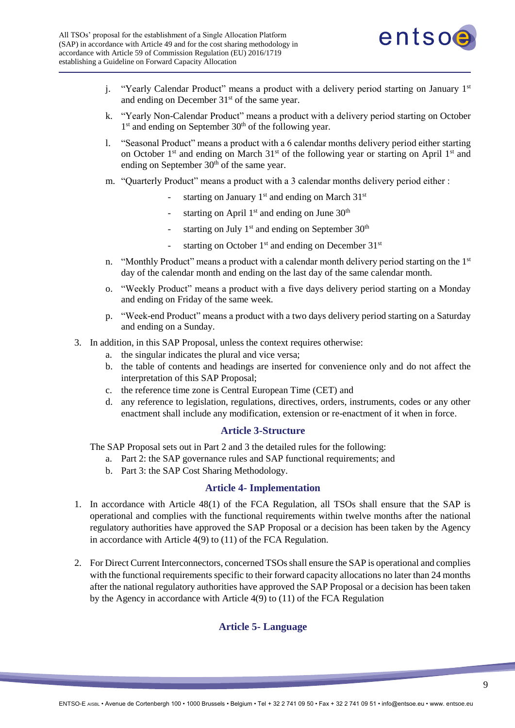

- j. "Yearly Calendar Product" means a product with a delivery period starting on January  $1<sup>st</sup>$ and ending on December 31<sup>st</sup> of the same year.
- k. "Yearly Non-Calendar Product" means a product with a delivery period starting on October 1<sup>st</sup> and ending on September 30<sup>th</sup> of the following year.
- l. "Seasonal Product" means a product with a 6 calendar months delivery period either starting on October 1<sup>st</sup> and ending on March 31<sup>st</sup> of the following year or starting on April 1<sup>st</sup> and ending on September  $30<sup>th</sup>$  of the same year.
- m. "Quarterly Product" means a product with a 3 calendar months delivery period either :
	- starting on January  $1<sup>st</sup>$  and ending on March  $31<sup>st</sup>$
	- starting on April  $1<sup>st</sup>$  and ending on June  $30<sup>th</sup>$
	- starting on July  $1^{st}$  and ending on September  $30^{th}$
	- starting on October  $1<sup>st</sup>$  and ending on December  $31<sup>st</sup>$
- n. "Monthly Product" means a product with a calendar month delivery period starting on the  $1<sup>st</sup>$ day of the calendar month and ending on the last day of the same calendar month.
- o. "Weekly Product" means a product with a five days delivery period starting on a Monday and ending on Friday of the same week.
- p. "Week-end Product" means a product with a two days delivery period starting on a Saturday and ending on a Sunday.
- 3. In addition, in this SAP Proposal, unless the context requires otherwise:
	- a. the singular indicates the plural and vice versa;
	- b. the table of contents and headings are inserted for convenience only and do not affect the interpretation of this SAP Proposal;
	- c. the reference time zone is Central European Time (CET) and
	- d. any reference to legislation, regulations, directives, orders, instruments, codes or any other enactment shall include any modification, extension or re-enactment of it when in force.

#### **Article 3-Structure**

<span id="page-8-0"></span>The SAP Proposal sets out in Part 2 and 3 the detailed rules for the following:

- a. Part 2: the SAP governance rules and SAP functional requirements; and
- b. Part 3: the SAP Cost Sharing Methodology.

#### **Article 4- Implementation**

- <span id="page-8-1"></span>1. In accordance with Article 48(1) of the FCA Regulation, all TSOs shall ensure that the SAP is operational and complies with the functional requirements within twelve months after the national regulatory authorities have approved the SAP Proposal or a decision has been taken by the Agency in accordance with Article 4(9) to (11) of the FCA Regulation.
- <span id="page-8-2"></span>2. For Direct Current Interconnectors, concerned TSOs shall ensure the SAP is operational and complies with the functional requirements specific to their forward capacity allocations no later than 24 months after the national regulatory authorities have approved the SAP Proposal or a decision has been taken by the Agency in accordance with Article 4(9) to (11) of the FCA Regulation

## **Article 5- Language**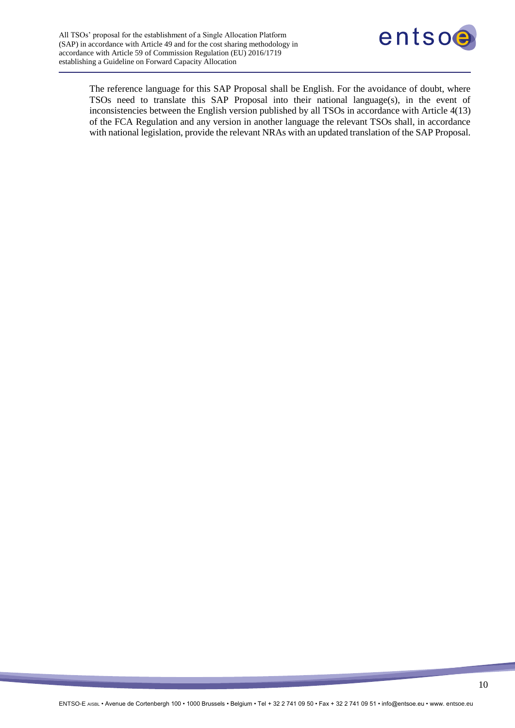

The reference language for this SAP Proposal shall be English. For the avoidance of doubt, where TSOs need to translate this SAP Proposal into their national language(s), in the event of inconsistencies between the English version published by all TSOs in accordance with Article 4(13) of the FCA Regulation and any version in another language the relevant TSOs shall, in accordance with national legislation, provide the relevant NRAs with an updated translation of the SAP Proposal.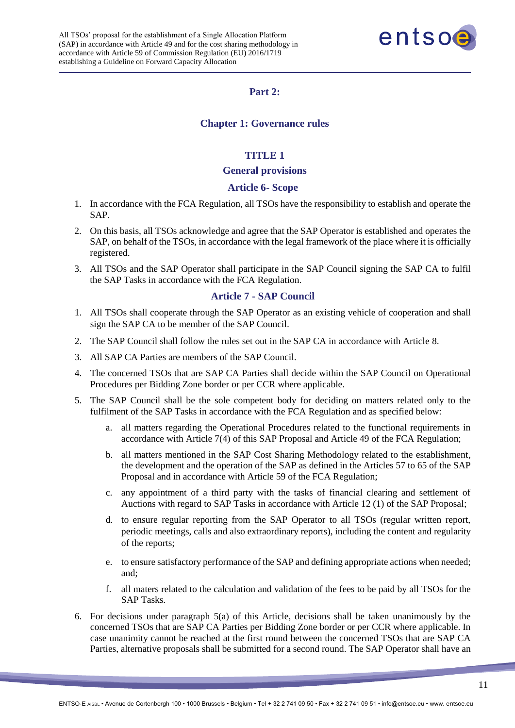

# **Part 2:**

## **Chapter 1: Governance rules**

# **TITLE 1**

#### **General provisions**

## **Article 6- Scope**

- <span id="page-10-3"></span><span id="page-10-2"></span><span id="page-10-1"></span><span id="page-10-0"></span>1. In accordance with the FCA Regulation, all TSOs have the responsibility to establish and operate the SAP.
- 2. On this basis, all TSOs acknowledge and agree that the SAP Operator is established and operates the SAP, on behalf of the TSOs, in accordance with the legal framework of the place where it is officially registered.
- 3. All TSOs and the SAP Operator shall participate in the SAP Council signing the SAP CA to fulfil the SAP Tasks in accordance with the FCA Regulation.

#### <span id="page-10-4"></span>**Article 7 - SAP Council**

- 1. All TSOs shall cooperate through the SAP Operator as an existing vehicle of cooperation and shall sign the SAP CA to be member of the SAP Council.
- 2. The SAP Council shall follow the rules set out in the SAP CA in accordance with Article 8.
- 3. All SAP CA Parties are members of the SAP Council.
- 4. The concerned TSOs that are SAP CA Parties shall decide within the SAP Council on Operational Procedures per Bidding Zone border or per CCR where applicable.
- 5. The SAP Council shall be the sole competent body for deciding on matters related only to the fulfilment of the SAP Tasks in accordance with the FCA Regulation and as specified below:
	- a. all matters regarding the Operational Procedures related to the functional requirements in accordance with Article 7(4) of this SAP Proposal and Article 49 of the FCA Regulation;
	- b. all matters mentioned in the SAP Cost Sharing Methodology related to the establishment, the development and the operation of the SAP as defined in the Articles 57 to 65 of the SAP Proposal and in accordance with Article 59 of the FCA Regulation;
	- c. any appointment of a third party with the tasks of financial clearing and settlement of Auctions with regard to SAP Tasks in accordance with Article 12 (1) of the SAP Proposal;
	- d. to ensure regular reporting from the SAP Operator to all TSOs (regular written report, periodic meetings, calls and also extraordinary reports), including the content and regularity of the reports;
	- e. to ensure satisfactory performance of the SAP and defining appropriate actions when needed; and;
	- f. all maters related to the calculation and validation of the fees to be paid by all TSOs for the SAP Tasks.
- 6. For decisions under paragraph 5(a) of this Article, decisions shall be taken unanimously by the concerned TSOs that are SAP CA Parties per Bidding Zone border or per CCR where applicable. In case unanimity cannot be reached at the first round between the concerned TSOs that are SAP CA Parties, alternative proposals shall be submitted for a second round. The SAP Operator shall have an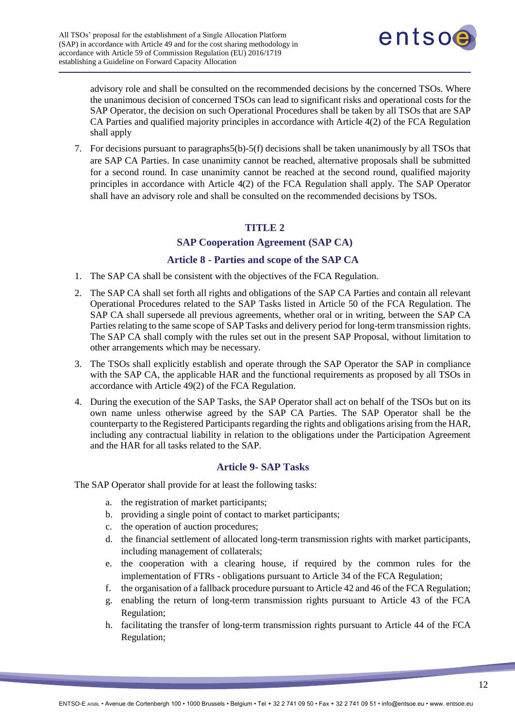

advisory role and shall be consulted on the recommended decisions by the concerned TSOs. Where the unanimous decision of concerned TSOs can lead to significant risks and operational costs for the SAP Operator, the decision on such Operational Procedures shall be taken by all TSOs that are SAP CA Parties and qualified majority principles in accordance with Article 4(2) of the FCA Regulation shall apply

7. For decisions pursuant to paragraphs5(b)-5(f) decisions shall be taken unanimously by all TSOs that are SAP CA Parties. In case unanimity cannot be reached, alternative proposals shall be submitted for a second round. In case unanimity cannot be reached at the second round, qualified majority principles in accordance with Article 4(2) of the FCA Regulation shall apply. The SAP Operator shall have an advisory role and shall be consulted on the recommended decisions by TSOs.

## **TITLE 2**

## <span id="page-11-1"></span>**SAP Cooperation Agreement (SAP CA)**

# **Article 8 - Parties and scope of the SAP CA**

- <span id="page-11-0"></span>1. The SAP CA shall be consistent with the objectives of the FCA Regulation.
- 2. The SAP CA shall set forth all rights and obligations of the SAP CA Parties and contain all relevant Operational Procedures related to the SAP Tasks listed in Article 50 of the FCA Regulation. The SAP CA shall supersede all previous agreements, whether oral or in writing, between the SAP CA Parties relating to the same scope of SAP Tasks and delivery period for long-term transmission rights. The SAP CA shall comply with the rules set out in the present SAP Proposal, without limitation to other arrangements which may be necessary.
- 3. The TSOs shall explicitly establish and operate through the SAP Operator the SAP in compliance with the SAP CA, the applicable HAR and the functional requirements as proposed by all TSOs in accordance with Article 49(2) of the FCA Regulation.
- 4. During the execution of the SAP Tasks, the SAP Operator shall act on behalf of the TSOs but on its own name unless otherwise agreed by the SAP CA Parties. The SAP Operator shall be the counterparty to the Registered Participants regarding the rights and obligations arising from the HAR, including any contractual liability in relation to the obligations under the Participation Agreement and the HAR for all tasks related to the SAP.

## **Article 9- SAP Tasks**

<span id="page-11-2"></span>The SAP Operator shall provide for at least the following tasks:

- a. the registration of market participants;
- b. providing a single point of contact to market participants;
- c. the operation of auction procedures;
- d. the financial settlement of allocated long-term transmission rights with market participants, including management of collaterals;
- e. the cooperation with a clearing house, if required by the common rules for the implementation of FTRs - obligations pursuant to Article 34 of the FCA Regulation;
- f. the organisation of a fallback procedure pursuant to Article 42 and 46 of the FCA Regulation;
- g. enabling the return of long-term transmission rights pursuant to Article 43 of the FCA Regulation;
- h. facilitating the transfer of long-term transmission rights pursuant to Article 44 of the FCA Regulation;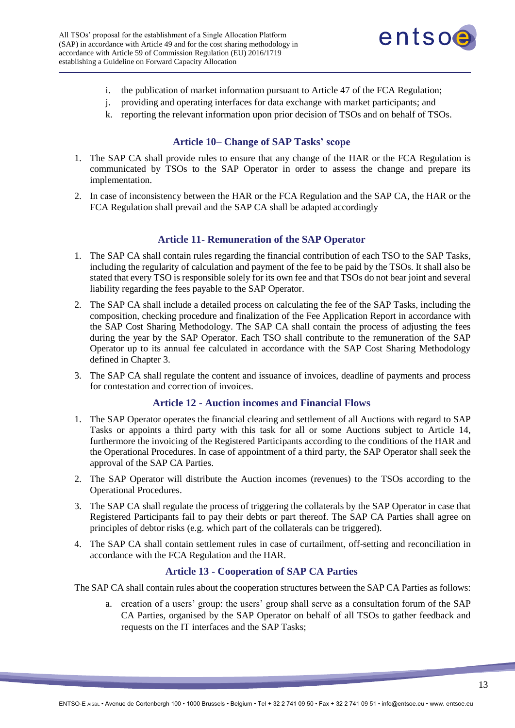

- i. the publication of market information pursuant to Article 47 of the FCA Regulation;
- j. providing and operating interfaces for data exchange with market participants; and
- k. reporting the relevant information upon prior decision of TSOs and on behalf of TSOs.

#### **Article 10– Change of SAP Tasks' scope**

- <span id="page-12-0"></span>1. The SAP CA shall provide rules to ensure that any change of the HAR or the FCA Regulation is communicated by TSOs to the SAP Operator in order to assess the change and prepare its implementation.
- 2. In case of inconsistency between the HAR or the FCA Regulation and the SAP CA, the HAR or the FCA Regulation shall prevail and the SAP CA shall be adapted accordingly

#### **Article 11- Remuneration of the SAP Operator**

- <span id="page-12-1"></span>1. The SAP CA shall contain rules regarding the financial contribution of each TSO to the SAP Tasks, including the regularity of calculation and payment of the fee to be paid by the TSOs. It shall also be stated that every TSO is responsible solely for its own fee and that TSOs do not bear joint and several liability regarding the fees payable to the SAP Operator.
- 2. The SAP CA shall include a detailed process on calculating the fee of the SAP Tasks, including the composition, checking procedure and finalization of the Fee Application Report in accordance with the SAP Cost Sharing Methodology. The SAP CA shall contain the process of adjusting the fees during the year by the SAP Operator. Each TSO shall contribute to the remuneration of the SAP Operator up to its annual fee calculated in accordance with the SAP Cost Sharing Methodology defined in Chapter 3.
- 3. The SAP CA shall regulate the content and issuance of invoices, deadline of payments and process for contestation and correction of invoices.

#### <span id="page-12-2"></span>**Article 12 - Auction incomes and Financial Flows**

- 1. The SAP Operator operates the financial clearing and settlement of all Auctions with regard to SAP Tasks or appoints a third party with this task for all or some Auctions subject to Article 14, furthermore the invoicing of the Registered Participants according to the conditions of the HAR and the Operational Procedures. In case of appointment of a third party, the SAP Operator shall seek the approval of the SAP CA Parties.
- 2. The SAP Operator will distribute the Auction incomes (revenues) to the TSOs according to the Operational Procedures.
- 3. The SAP CA shall regulate the process of triggering the collaterals by the SAP Operator in case that Registered Participants fail to pay their debts or part thereof. The SAP CA Parties shall agree on principles of debtor risks (e.g. which part of the collaterals can be triggered).
- 4. The SAP CA shall contain settlement rules in case of curtailment, off-setting and reconciliation in accordance with the FCA Regulation and the HAR.

#### <span id="page-12-3"></span>**Article 13 - Cooperation of SAP CA Parties**

The SAP CA shall contain rules about the cooperation structures between the SAP CA Parties as follows:

a. creation of a users' group: the users' group shall serve as a consultation forum of the SAP CA Parties, organised by the SAP Operator on behalf of all TSOs to gather feedback and requests on the IT interfaces and the SAP Tasks;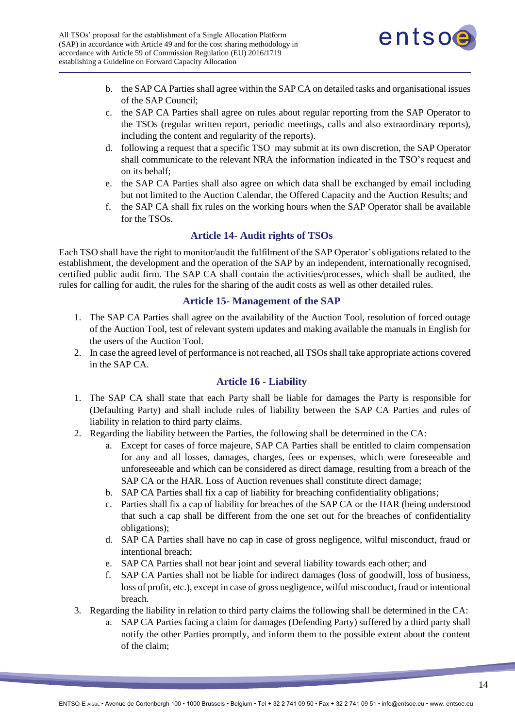

- b. the SAP CA Parties shall agree within the SAP CA on detailed tasks and organisational issues of the SAP Council;
- c. the SAP CA Parties shall agree on rules about regular reporting from the SAP Operator to the TSOs (regular written report, periodic meetings, calls and also extraordinary reports), including the content and regularity of the reports).
- d. following a request that a specific TSO may submit at its own discretion, the SAP Operator shall communicate to the relevant NRA the information indicated in the TSO's request and on its behalf;
- e. the SAP CA Parties shall also agree on which data shall be exchanged by email including but not limited to the Auction Calendar, the Offered Capacity and the Auction Results; and
- f. the SAP CA shall fix rules on the working hours when the SAP Operator shall be available for the TSOs.

# **Article 14- Audit rights of TSOs**

<span id="page-13-0"></span>Each TSO shall have the right to monitor/audit the fulfilment of the SAP Operator's obligations related to the establishment, the development and the operation of the SAP by an independent, internationally recognised, certified public audit firm. The SAP CA shall contain the activities/processes, which shall be audited, the rules for calling for audit, the rules for the sharing of the audit costs as well as other detailed rules.

## **Article 15- Management of the SAP**

- <span id="page-13-1"></span>1. The SAP CA Parties shall agree on the availability of the Auction Tool, resolution of forced outage of the Auction Tool, test of relevant system updates and making available the manuals in English for the users of the Auction Tool.
- 2. In case the agreed level of performance is not reached, all TSOs shall take appropriate actions covered in the SAP CA.

## <span id="page-13-2"></span>**Article 16 - Liability**

- 1. The SAP CA shall state that each Party shall be liable for damages the Party is responsible for (Defaulting Party) and shall include rules of liability between the SAP CA Parties and rules of liability in relation to third party claims.
- 2. Regarding the liability between the Parties, the following shall be determined in the CA:
	- a. Except for cases of force majeure, SAP CA Parties shall be entitled to claim compensation for any and all losses, damages, charges, fees or expenses, which were foreseeable and unforeseeable and which can be considered as direct damage, resulting from a breach of the SAP CA or the HAR. Loss of Auction revenues shall constitute direct damage;
	- b. SAP CA Parties shall fix a cap of liability for breaching confidentiality obligations;
	- c. Parties shall fix a cap of liability for breaches of the SAP CA or the HAR (being understood that such a cap shall be different from the one set out for the breaches of confidentiality obligations);
	- d. SAP CA Parties shall have no cap in case of gross negligence, wilful misconduct, fraud or intentional breach;
	- e. SAP CA Parties shall not bear joint and several liability towards each other; and
	- f. SAP CA Parties shall not be liable for indirect damages (loss of goodwill, loss of business, loss of profit, etc.), except in case of gross negligence, wilful misconduct, fraud or intentional breach.
- 3. Regarding the liability in relation to third party claims the following shall be determined in the CA:
	- a. SAP CA Parties facing a claim for damages (Defending Party) suffered by a third party shall notify the other Parties promptly, and inform them to the possible extent about the content of the claim;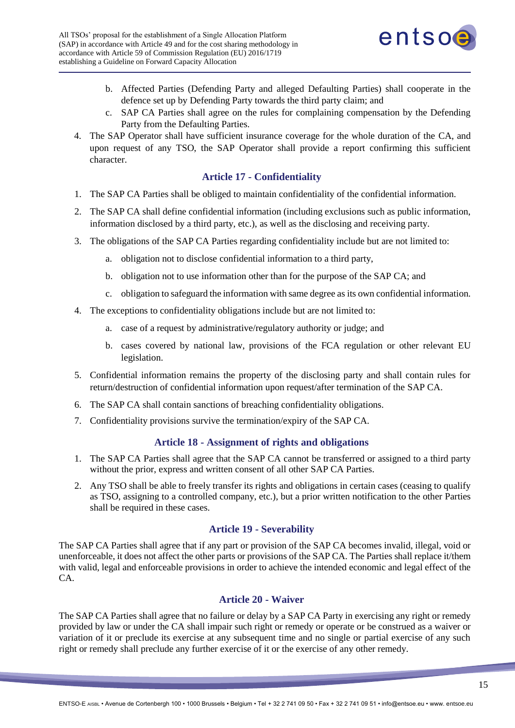

- b. Affected Parties (Defending Party and alleged Defaulting Parties) shall cooperate in the defence set up by Defending Party towards the third party claim; and
- c. SAP CA Parties shall agree on the rules for complaining compensation by the Defending Party from the Defaulting Parties.
- 4. The SAP Operator shall have sufficient insurance coverage for the whole duration of the CA, and upon request of any TSO, the SAP Operator shall provide a report confirming this sufficient character.

## <span id="page-14-0"></span>**Article 17 - Confidentiality**

- 1. The SAP CA Parties shall be obliged to maintain confidentiality of the confidential information.
- 2. The SAP CA shall define confidential information (including exclusions such as public information, information disclosed by a third party, etc.), as well as the disclosing and receiving party.
- 3. The obligations of the SAP CA Parties regarding confidentiality include but are not limited to:
	- a. obligation not to disclose confidential information to a third party,
	- b. obligation not to use information other than for the purpose of the SAP CA; and
	- c. obligation to safeguard the information with same degree as its own confidential information.
- 4. The exceptions to confidentiality obligations include but are not limited to:
	- a. case of a request by administrative/regulatory authority or judge; and
	- b. cases covered by national law, provisions of the FCA regulation or other relevant EU legislation.
- 5. Confidential information remains the property of the disclosing party and shall contain rules for return/destruction of confidential information upon request/after termination of the SAP CA.
- 6. The SAP CA shall contain sanctions of breaching confidentiality obligations.
- 7. Confidentiality provisions survive the termination/expiry of the SAP CA.

## <span id="page-14-1"></span>**Article 18 - Assignment of rights and obligations**

- 1. The SAP CA Parties shall agree that the SAP CA cannot be transferred or assigned to a third party without the prior, express and written consent of all other SAP CA Parties.
- 2. Any TSO shall be able to freely transfer its rights and obligations in certain cases (ceasing to qualify as TSO, assigning to a controlled company, etc.), but a prior written notification to the other Parties shall be required in these cases.

## <span id="page-14-2"></span>**Article 19 - Severability**

The SAP CA Parties shall agree that if any part or provision of the SAP CA becomes invalid, illegal, void or unenforceable, it does not affect the other parts or provisions of the SAP CA. The Parties shall replace it/them with valid, legal and enforceable provisions in order to achieve the intended economic and legal effect of the CA.

## <span id="page-14-3"></span>**Article 20 - Waiver**

The SAP CA Parties shall agree that no failure or delay by a SAP CA Party in exercising any right or remedy provided by law or under the CA shall impair such right or remedy or operate or be construed as a waiver or variation of it or preclude its exercise at any subsequent time and no single or partial exercise of any such right or remedy shall preclude any further exercise of it or the exercise of any other remedy.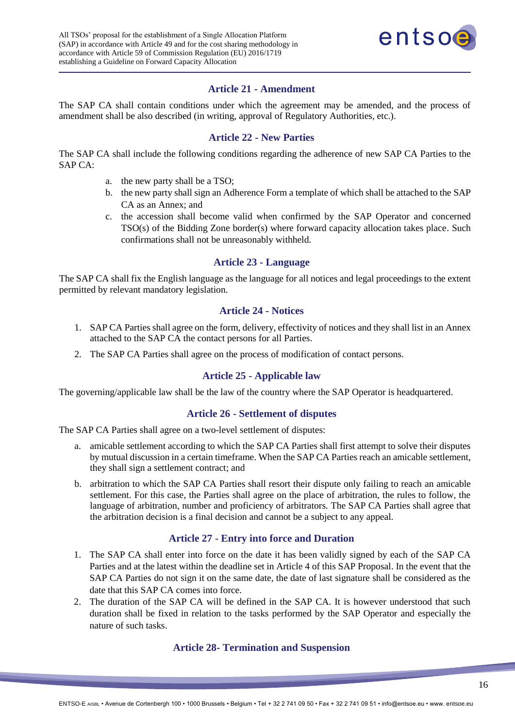

## <span id="page-15-0"></span>**Article 21 - Amendment**

The SAP CA shall contain conditions under which the agreement may be amended, and the process of amendment shall be also described (in writing, approval of Regulatory Authorities, etc.).

#### <span id="page-15-1"></span>**Article 22 - New Parties**

The SAP CA shall include the following conditions regarding the adherence of new SAP CA Parties to the SAP CA:

- a. the new party shall be a TSO;
- b. the new party shall sign an Adherence Form a template of which shall be attached to the SAP CA as an Annex; and
- c. the accession shall become valid when confirmed by the SAP Operator and concerned TSO(s) of the Bidding Zone border(s) where forward capacity allocation takes place. Such confirmations shall not be unreasonably withheld.

#### <span id="page-15-2"></span>**Article 23 - Language**

The SAP CA shall fix the English language as the language for all notices and legal proceedings to the extent permitted by relevant mandatory legislation.

## <span id="page-15-3"></span>**Article 24 - Notices**

- 1. SAP CA Parties shall agree on the form, delivery, effectivity of notices and they shall list in an Annex attached to the SAP CA the contact persons for all Parties.
- 2. The SAP CA Parties shall agree on the process of modification of contact persons.

#### <span id="page-15-5"></span><span id="page-15-4"></span>**Article 25 - Applicable law**

The governing/applicable law shall be the law of the country where the SAP Operator is headquartered.

## **Article 26 - Settlement of disputes**

The SAP CA Parties shall agree on a two-level settlement of disputes:

- a. amicable settlement according to which the SAP CA Parties shall first attempt to solve their disputes by mutual discussion in a certain timeframe. When the SAP CA Parties reach an amicable settlement, they shall sign a settlement contract; and
- b. arbitration to which the SAP CA Parties shall resort their dispute only failing to reach an amicable settlement. For this case, the Parties shall agree on the place of arbitration, the rules to follow, the language of arbitration, number and proficiency of arbitrators. The SAP CA Parties shall agree that the arbitration decision is a final decision and cannot be a subject to any appeal.

## <span id="page-15-6"></span>**Article 27 - Entry into force and Duration**

- 1. The SAP CA shall enter into force on the date it has been validly signed by each of the SAP CA Parties and at the latest within the deadline set in Article 4 of this SAP Proposal. In the event that the SAP CA Parties do not sign it on the same date, the date of last signature shall be considered as the date that this SAP CA comes into force.
- <span id="page-15-7"></span>2. The duration of the SAP CA will be defined in the SAP CA. It is however understood that such duration shall be fixed in relation to the tasks performed by the SAP Operator and especially the nature of such tasks.

#### **Article 28- Termination and Suspension**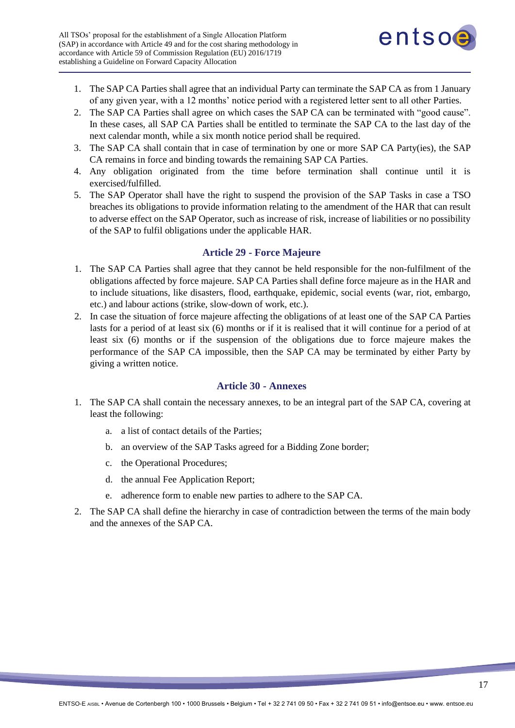

- 1. The SAP CA Parties shall agree that an individual Party can terminate the SAP CA as from 1 January of any given year, with a 12 months' notice period with a registered letter sent to all other Parties.
- 2. The SAP CA Parties shall agree on which cases the SAP CA can be terminated with "good cause". In these cases, all SAP CA Parties shall be entitled to terminate the SAP CA to the last day of the next calendar month, while a six month notice period shall be required.
- 3. The SAP CA shall contain that in case of termination by one or more SAP CA Party(ies), the SAP CA remains in force and binding towards the remaining SAP CA Parties.
- 4. Any obligation originated from the time before termination shall continue until it is exercised/fulfilled.
- 5. The SAP Operator shall have the right to suspend the provision of the SAP Tasks in case a TSO breaches its obligations to provide information relating to the amendment of the HAR that can result to adverse effect on the SAP Operator, such as increase of risk, increase of liabilities or no possibility of the SAP to fulfil obligations under the applicable HAR.

#### <span id="page-16-0"></span>**Article 29 - Force Majeure**

- 1. The SAP CA Parties shall agree that they cannot be held responsible for the non-fulfilment of the obligations affected by force majeure. SAP CA Parties shall define force majeure as in the HAR and to include situations, like disasters, flood, earthquake, epidemic, social events (war, riot, embargo, etc.) and labour actions (strike, slow-down of work, etc.).
- 2. In case the situation of force majeure affecting the obligations of at least one of the SAP CA Parties lasts for a period of at least six (6) months or if it is realised that it will continue for a period of at least six (6) months or if the suspension of the obligations due to force majeure makes the performance of the SAP CA impossible, then the SAP CA may be terminated by either Party by giving a written notice.

#### <span id="page-16-1"></span>**Article 30 - Annexes**

- 1. The SAP CA shall contain the necessary annexes, to be an integral part of the SAP CA, covering at least the following:
	- a. a list of contact details of the Parties;
	- b. an overview of the SAP Tasks agreed for a Bidding Zone border;
	- c. the Operational Procedures;
	- d. the annual Fee Application Report;
	- e. adherence form to enable new parties to adhere to the SAP CA.
- 2. The SAP CA shall define the hierarchy in case of contradiction between the terms of the main body and the annexes of the SAP CA.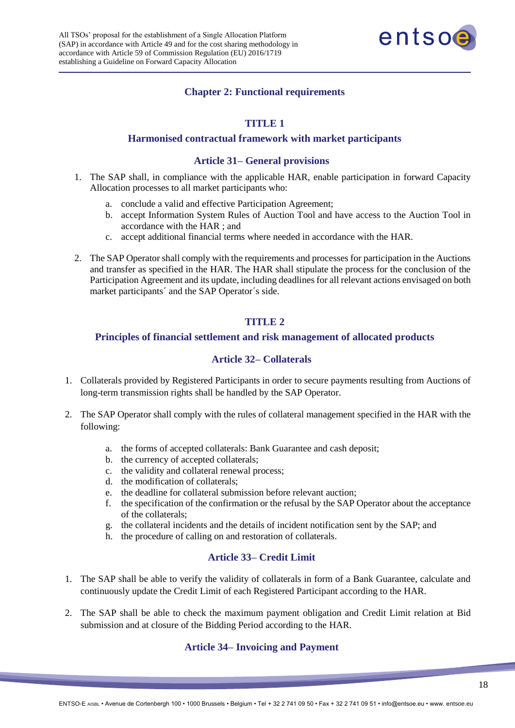

# **Chapter 2: Functional requirements**

# **TITLE 1**

#### <span id="page-17-0"></span>**Harmonised contractual framework with market participants**

#### **Article 31– General provisions**

- <span id="page-17-2"></span><span id="page-17-1"></span>1. The SAP shall, in compliance with the applicable HAR, enable participation in forward Capacity Allocation processes to all market participants who:
	- a. conclude a valid and effective Participation Agreement;
	- b. accept Information System Rules of Auction Tool and have access to the Auction Tool in accordance with the HAR ; and
	- c. accept additional financial terms where needed in accordance with the HAR.
- 2. The SAP Operator shall comply with the requirements and processes for participation in the Auctions and transfer as specified in the HAR. The HAR shall stipulate the process for the conclusion of the Participation Agreement and its update, including deadlines for all relevant actions envisaged on both market participants´ and the SAP Operator´s side.

#### **TITLE 2**

#### <span id="page-17-3"></span>**Principles of financial settlement and risk management of allocated products**

#### **Article 32– Collaterals**

- <span id="page-17-4"></span>1. Collaterals provided by Registered Participants in order to secure payments resulting from Auctions of long-term transmission rights shall be handled by the SAP Operator.
- 2. The SAP Operator shall comply with the rules of collateral management specified in the HAR with the following:
	- a. the forms of accepted collaterals: Bank Guarantee and cash deposit;
	- b. the currency of accepted collaterals;
	- c. the validity and collateral renewal process;
	- d. the modification of collaterals;
	- e. the deadline for collateral submission before relevant auction;
	- f. the specification of the confirmation or the refusal by the SAP Operator about the acceptance of the collaterals;
	- g. the collateral incidents and the details of incident notification sent by the SAP; and
	- h. the procedure of calling on and restoration of collaterals.

## **Article 33– Credit Limit**

- <span id="page-17-5"></span>1. The SAP shall be able to verify the validity of collaterals in form of a Bank Guarantee, calculate and continuously update the Credit Limit of each Registered Participant according to the HAR.
- <span id="page-17-6"></span>2. The SAP shall be able to check the maximum payment obligation and Credit Limit relation at Bid submission and at closure of the Bidding Period according to the HAR.

## **Article 34– Invoicing and Payment**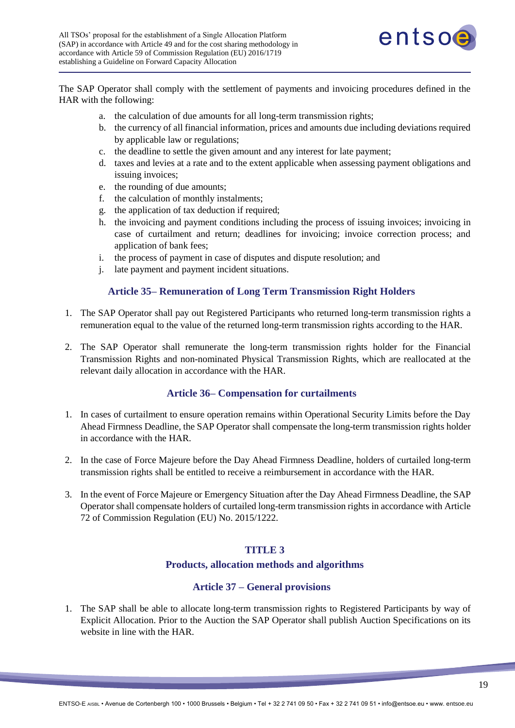

The SAP Operator shall comply with the settlement of payments and invoicing procedures defined in the HAR with the following:

- a. the calculation of due amounts for all long-term transmission rights;
- b. the currency of all financial information, prices and amounts due including deviations required by applicable law or regulations;
- c. the deadline to settle the given amount and any interest for late payment;
- d. taxes and levies at a rate and to the extent applicable when assessing payment obligations and issuing invoices;
- e. the rounding of due amounts;
- f. the calculation of monthly instalments;
- g. the application of tax deduction if required;
- h. the invoicing and payment conditions including the process of issuing invoices; invoicing in case of curtailment and return; deadlines for invoicing; invoice correction process; and application of bank fees;
- i. the process of payment in case of disputes and dispute resolution; and
- j. late payment and payment incident situations.

## **Article 35– Remuneration of Long Term Transmission Right Holders**

- <span id="page-18-0"></span>1. The SAP Operator shall pay out Registered Participants who returned long-term transmission rights a remuneration equal to the value of the returned long-term transmission rights according to the HAR.
- 2. The SAP Operator shall remunerate the long-term transmission rights holder for the Financial Transmission Rights and non-nominated Physical Transmission Rights, which are reallocated at the relevant daily allocation in accordance with the HAR.

## **Article 36– Compensation for curtailments**

- <span id="page-18-1"></span>1. In cases of curtailment to ensure operation remains within Operational Security Limits before the Day Ahead Firmness Deadline, the SAP Operator shall compensate the long-term transmission rights holder in accordance with the HAR.
- 2. In the case of Force Majeure before the Day Ahead Firmness Deadline, holders of curtailed long-term transmission rights shall be entitled to receive a reimbursement in accordance with the HAR.
- <span id="page-18-2"></span>3. In the event of Force Majeure or Emergency Situation after the Day Ahead Firmness Deadline, the SAP Operator shall compensate holders of curtailed long-term transmission rights in accordance with Article 72 of Commission Regulation (EU) No. 2015/1222.

## <span id="page-18-3"></span>**TITLE 3**

#### **Products, allocation methods and algorithms**

## **Article 37 – General provisions**

1. The SAP shall be able to allocate long-term transmission rights to Registered Participants by way of Explicit Allocation. Prior to the Auction the SAP Operator shall publish Auction Specifications on its website in line with the HAR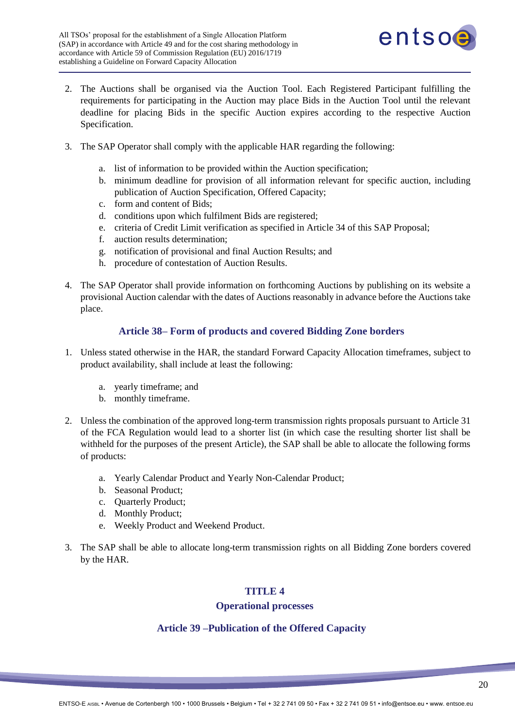

- 2. The Auctions shall be organised via the Auction Tool. Each Registered Participant fulfilling the requirements for participating in the Auction may place Bids in the Auction Tool until the relevant deadline for placing Bids in the specific Auction expires according to the respective Auction Specification.
- 3. The SAP Operator shall comply with the applicable HAR regarding the following:
	- a. list of information to be provided within the Auction specification;
	- b. minimum deadline for provision of all information relevant for specific auction, including publication of Auction Specification, Offered Capacity;
	- c. form and content of Bids;
	- d. conditions upon which fulfilment Bids are registered;
	- e. criteria of Credit Limit verification as specified in Article 34 of this SAP Proposal;
	- f. auction results determination;
	- g. notification of provisional and final Auction Results; and
	- h. procedure of contestation of Auction Results.
- 4. The SAP Operator shall provide information on forthcoming Auctions by publishing on its website a provisional Auction calendar with the dates of Auctions reasonably in advance before the Auctions take place.

# **Article 38– Form of products and covered Bidding Zone borders**

- <span id="page-19-0"></span>1. Unless stated otherwise in the HAR, the standard Forward Capacity Allocation timeframes, subject to product availability, shall include at least the following:
	- a. yearly timeframe; and
	- b. monthly timeframe.
- 2. Unless the combination of the approved long-term transmission rights proposals pursuant to Article 31 of the FCA Regulation would lead to a shorter list (in which case the resulting shorter list shall be withheld for the purposes of the present Article), the SAP shall be able to allocate the following forms of products:
	- a. Yearly Calendar Product and Yearly Non-Calendar Product;
	- b. Seasonal Product;
	- c. Quarterly Product;
	- d. Monthly Product;
	- e. Weekly Product and Weekend Product.
- <span id="page-19-1"></span>3. The SAP shall be able to allocate long-term transmission rights on all Bidding Zone borders covered by the HAR.

# **TITLE 4**

#### <span id="page-19-2"></span>**Operational processes**

# **Article 39 –Publication of the Offered Capacity**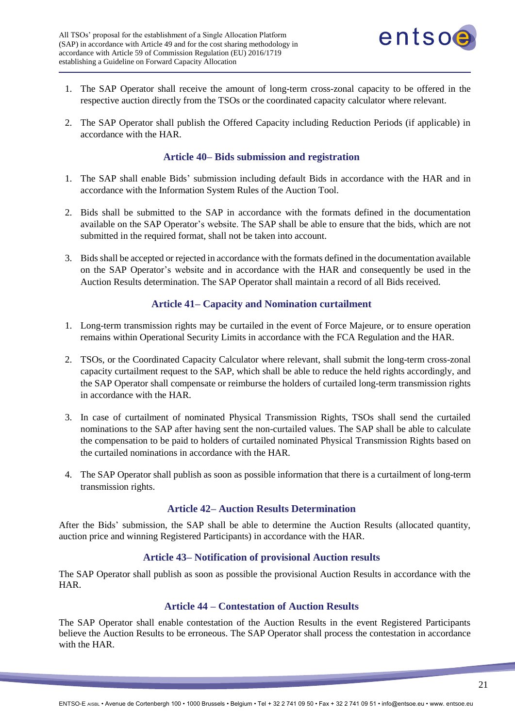

- 1. The SAP Operator shall receive the amount of long-term cross-zonal capacity to be offered in the respective auction directly from the TSOs or the coordinated capacity calculator where relevant.
- 2. The SAP Operator shall publish the Offered Capacity including Reduction Periods (if applicable) in accordance with the HAR.

## **Article 40– Bids submission and registration**

- <span id="page-20-0"></span>1. The SAP shall enable Bids' submission including default Bids in accordance with the HAR and in accordance with the Information System Rules of the Auction Tool.
- 2. Bids shall be submitted to the SAP in accordance with the formats defined in the documentation available on the SAP Operator's website. The SAP shall be able to ensure that the bids, which are not submitted in the required format, shall not be taken into account.
- 3. Bids shall be accepted or rejected in accordance with the formats defined in the documentation available on the SAP Operator's website and in accordance with the HAR and consequently be used in the Auction Results determination. The SAP Operator shall maintain a record of all Bids received.

# **Article 41– Capacity and Nomination curtailment**

- <span id="page-20-1"></span>1. Long-term transmission rights may be curtailed in the event of Force Majeure, or to ensure operation remains within Operational Security Limits in accordance with the FCA Regulation and the HAR.
- 2. TSOs, or the Coordinated Capacity Calculator where relevant, shall submit the long-term cross-zonal capacity curtailment request to the SAP, which shall be able to reduce the held rights accordingly, and the SAP Operator shall compensate or reimburse the holders of curtailed long-term transmission rights in accordance with the HAR.
- 3. In case of curtailment of nominated Physical Transmission Rights, TSOs shall send the curtailed nominations to the SAP after having sent the non-curtailed values. The SAP shall be able to calculate the compensation to be paid to holders of curtailed nominated Physical Transmission Rights based on the curtailed nominations in accordance with the HAR.
- <span id="page-20-2"></span>4. The SAP Operator shall publish as soon as possible information that there is a curtailment of long-term transmission rights.

## **Article 42– Auction Results Determination**

After the Bids' submission, the SAP shall be able to determine the Auction Results (allocated quantity, auction price and winning Registered Participants) in accordance with the HAR.

## **Article 43– Notification of provisional Auction results**

<span id="page-20-3"></span>The SAP Operator shall publish as soon as possible the provisional Auction Results in accordance with the HAR.

## <span id="page-20-4"></span>**Article 44 – Contestation of Auction Results**

The SAP Operator shall enable contestation of the Auction Results in the event Registered Participants believe the Auction Results to be erroneous. The SAP Operator shall process the contestation in accordance with the HAR.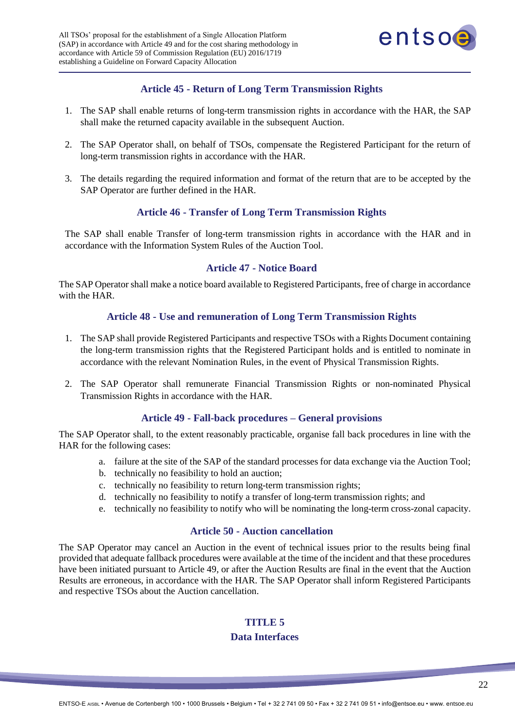

# <span id="page-21-0"></span>**Article 45 - Return of Long Term Transmission Rights**

- 1. The SAP shall enable returns of long-term transmission rights in accordance with the HAR, the SAP shall make the returned capacity available in the subsequent Auction.
- 2. The SAP Operator shall, on behalf of TSOs, compensate the Registered Participant for the return of long-term transmission rights in accordance with the HAR.
- 3. The details regarding the required information and format of the return that are to be accepted by the SAP Operator are further defined in the HAR.

## <span id="page-21-1"></span>**Article 46 - Transfer of Long Term Transmission Rights**

The SAP shall enable Transfer of long-term transmission rights in accordance with the HAR and in accordance with the Information System Rules of the Auction Tool.

#### <span id="page-21-2"></span>**Article 47 - Notice Board**

The SAP Operator shall make a notice board available to Registered Participants, free of charge in accordance with the HAR.

#### <span id="page-21-3"></span>**Article 48 - Use and remuneration of Long Term Transmission Rights**

- 1. The SAP shall provide Registered Participants and respective TSOs with a Rights Document containing the long-term transmission rights that the Registered Participant holds and is entitled to nominate in accordance with the relevant Nomination Rules, in the event of Physical Transmission Rights.
- 2. The SAP Operator shall remunerate Financial Transmission Rights or non-nominated Physical Transmission Rights in accordance with the HAR.

#### <span id="page-21-4"></span>**Article 49 - Fall-back procedures – General provisions**

The SAP Operator shall, to the extent reasonably practicable, organise fall back procedures in line with the HAR for the following cases:

- a. failure at the site of the SAP of the standard processes for data exchange via the Auction Tool;
- b. technically no feasibility to hold an auction;
- c. technically no feasibility to return long-term transmission rights;
- d. technically no feasibility to notify a transfer of long-term transmission rights; and
- e. technically no feasibility to notify who will be nominating the long-term cross-zonal capacity.

#### <span id="page-21-5"></span>**Article 50 - Auction cancellation**

<span id="page-21-6"></span>The SAP Operator may cancel an Auction in the event of technical issues prior to the results being final provided that adequate fallback procedures were available at the time of the incident and that these procedures have been initiated pursuant to Article 49, or after the Auction Results are final in the event that the Auction Results are erroneous, in accordance with the HAR. The SAP Operator shall inform Registered Participants and respective TSOs about the Auction cancellation.

# **TITLE 5 Data Interfaces**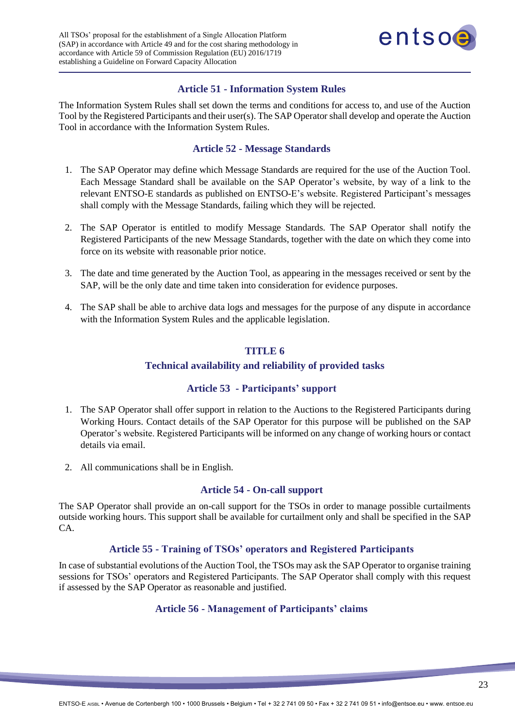

## <span id="page-22-0"></span>**Article 51 - Information System Rules**

The Information System Rules shall set down the terms and conditions for access to, and use of the Auction Tool by the Registered Participants and their user(s). The SAP Operator shall develop and operate the Auction Tool in accordance with the Information System Rules.

# <span id="page-22-1"></span>**Article 52 - Message Standards**

- 1. The SAP Operator may define which Message Standards are required for the use of the Auction Tool. Each Message Standard shall be available on the SAP Operator's website, by way of a link to the relevant ENTSO-E standards as published on ENTSO-E's website. Registered Participant's messages shall comply with the Message Standards, failing which they will be rejected.
- 2. The SAP Operator is entitled to modify Message Standards. The SAP Operator shall notify the Registered Participants of the new Message Standards, together with the date on which they come into force on its website with reasonable prior notice.
- 3. The date and time generated by the Auction Tool, as appearing in the messages received or sent by the SAP, will be the only date and time taken into consideration for evidence purposes.
- <span id="page-22-2"></span>4. The SAP shall be able to archive data logs and messages for the purpose of any dispute in accordance with the Information System Rules and the applicable legislation.

## <span id="page-22-3"></span>**TITLE 6**

## **Technical availability and reliability of provided tasks**

## **Article 53 - Participants' support**

- 1. The SAP Operator shall offer support in relation to the Auctions to the Registered Participants during Working Hours. Contact details of the SAP Operator for this purpose will be published on the SAP Operator's website. Registered Participants will be informed on any change of working hours or contact details via email.
- 2. All communications shall be in English.

## <span id="page-22-4"></span>**Article 54 - On-call support**

The SAP Operator shall provide an on-call support for the TSOs in order to manage possible curtailments outside working hours. This support shall be available for curtailment only and shall be specified in the SAP CA.

#### <span id="page-22-5"></span>**Article 55 - Training of TSOs' operators and Registered Participants**

In case of substantial evolutions of the Auction Tool, the TSOs may ask the SAP Operator to organise training sessions for TSOs' operators and Registered Participants. The SAP Operator shall comply with this request if assessed by the SAP Operator as reasonable and justified.

#### <span id="page-22-6"></span>**Article 56 - Management of Participants' claims**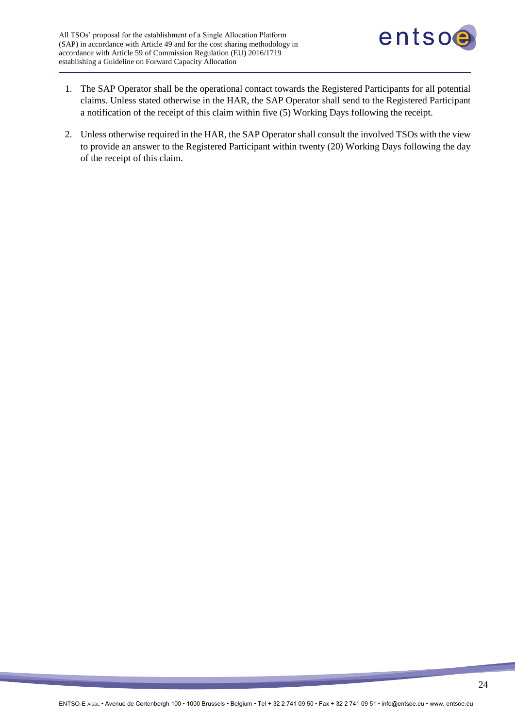

- 1. The SAP Operator shall be the operational contact towards the Registered Participants for all potential claims. Unless stated otherwise in the HAR, the SAP Operator shall send to the Registered Participant a notification of the receipt of this claim within five (5) Working Days following the receipt.
- 2. Unless otherwise required in the HAR, the SAP Operator shall consult the involved TSOs with the view to provide an answer to the Registered Participant within twenty (20) Working Days following the day of the receipt of this claim.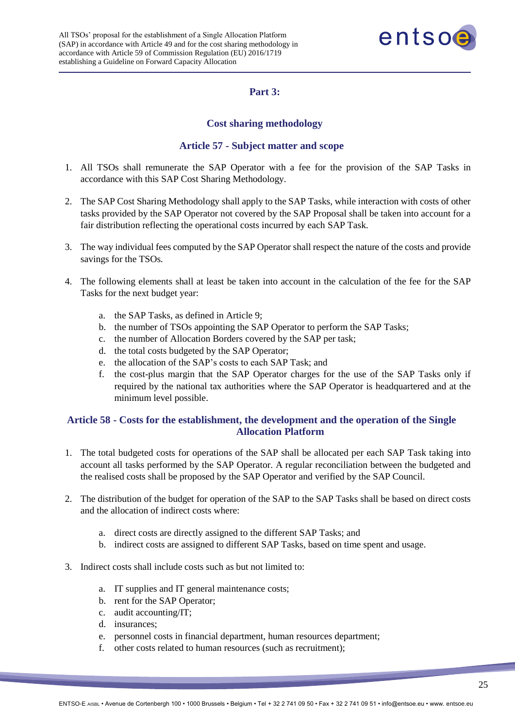

# **Part 3:**

## <span id="page-24-2"></span>**Cost sharing methodology**

## **Article 57 - Subject matter and scope**

- <span id="page-24-1"></span><span id="page-24-0"></span>1. All TSOs shall remunerate the SAP Operator with a fee for the provision of the SAP Tasks in accordance with this SAP Cost Sharing Methodology.
- 2. The SAP Cost Sharing Methodology shall apply to the SAP Tasks, while interaction with costs of other tasks provided by the SAP Operator not covered by the SAP Proposal shall be taken into account for a fair distribution reflecting the operational costs incurred by each SAP Task.
- 3. The way individual fees computed by the SAP Operator shall respect the nature of the costs and provide savings for the TSOs.
- 4. The following elements shall at least be taken into account in the calculation of the fee for the SAP Tasks for the next budget year:
	- a. the SAP Tasks, as defined in Article 9;
	- b. the number of TSOs appointing the SAP Operator to perform the SAP Tasks;
	- c. the number of Allocation Borders covered by the SAP per task;
	- d. the total costs budgeted by the SAP Operator;
	- e. the allocation of the SAP's costs to each SAP Task; and
	- f. the cost-plus margin that the SAP Operator charges for the use of the SAP Tasks only if required by the national tax authorities where the SAP Operator is headquartered and at the minimum level possible.

## <span id="page-24-3"></span>**Article 58 - Costs for the establishment, the development and the operation of the Single Allocation Platform**

- 1. The total budgeted costs for operations of the SAP shall be allocated per each SAP Task taking into account all tasks performed by the SAP Operator. A regular reconciliation between the budgeted and the realised costs shall be proposed by the SAP Operator and verified by the SAP Council.
- 2. The distribution of the budget for operation of the SAP to the SAP Tasks shall be based on direct costs and the allocation of indirect costs where:
	- a. direct costs are directly assigned to the different SAP Tasks; and
	- b. indirect costs are assigned to different SAP Tasks, based on time spent and usage.
- 3. Indirect costs shall include costs such as but not limited to:
	- a. IT supplies and IT general maintenance costs;
	- b. rent for the SAP Operator;
	- c. audit accounting/IT;
	- d. insurances;
	- e. personnel costs in financial department, human resources department;
	- f. other costs related to human resources (such as recruitment);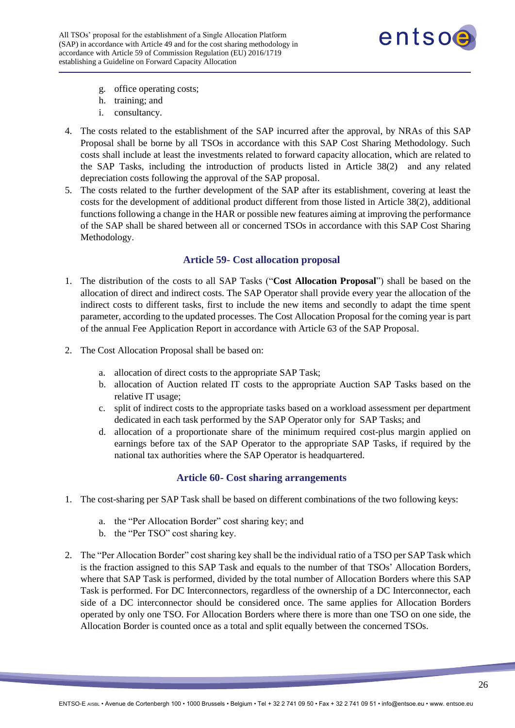

- g. office operating costs;
- h. training; and
- i. consultancy.
- 4. The costs related to the establishment of the SAP incurred after the approval, by NRAs of this SAP Proposal shall be borne by all TSOs in accordance with this SAP Cost Sharing Methodology. Such costs shall include at least the investments related to forward capacity allocation, which are related to the SAP Tasks, including the introduction of products listed in Article 38(2) and any related depreciation costs following the approval of the SAP proposal.
- 5. The costs related to the further development of the SAP after its establishment, covering at least the costs for the development of additional product different from those listed in Article 38(2), additional functions following a change in the HAR or possible new features aiming at improving the performance of the SAP shall be shared between all or concerned TSOs in accordance with this SAP Cost Sharing Methodology.

# **Article 59- Cost allocation proposal**

- <span id="page-25-0"></span>1. The distribution of the costs to all SAP Tasks ("**Cost Allocation Proposal**") shall be based on the allocation of direct and indirect costs. The SAP Operator shall provide every year the allocation of the indirect costs to different tasks, first to include the new items and secondly to adapt the time spent parameter, according to the updated processes. The Cost Allocation Proposal for the coming year is part of the annual Fee Application Report in accordance with Article 63 of the SAP Proposal.
- 2. The Cost Allocation Proposal shall be based on:
	- a. allocation of direct costs to the appropriate SAP Task;
	- b. allocation of Auction related IT costs to the appropriate Auction SAP Tasks based on the relative IT usage;
	- c. split of indirect costs to the appropriate tasks based on a workload assessment per department dedicated in each task performed by the SAP Operator only for SAP Tasks; and
	- d. allocation of a proportionate share of the minimum required cost-plus margin applied on earnings before tax of the SAP Operator to the appropriate SAP Tasks, if required by the national tax authorities where the SAP Operator is headquartered.

## **Article 60- Cost sharing arrangements**

- <span id="page-25-1"></span>1. The cost-sharing per SAP Task shall be based on different combinations of the two following keys:
	- a. the "Per Allocation Border" cost sharing key; and
	- b. the "Per TSO" cost sharing key.
- 2. The "Per Allocation Border" cost sharing key shall be the individual ratio of a TSO per SAP Task which is the fraction assigned to this SAP Task and equals to the number of that TSOs' Allocation Borders, where that SAP Task is performed, divided by the total number of Allocation Borders where this SAP Task is performed. For DC Interconnectors, regardless of the ownership of a DC Interconnector, each side of a DC interconnector should be considered once. The same applies for Allocation Borders operated by only one TSO. For Allocation Borders where there is more than one TSO on one side, the Allocation Border is counted once as a total and split equally between the concerned TSOs.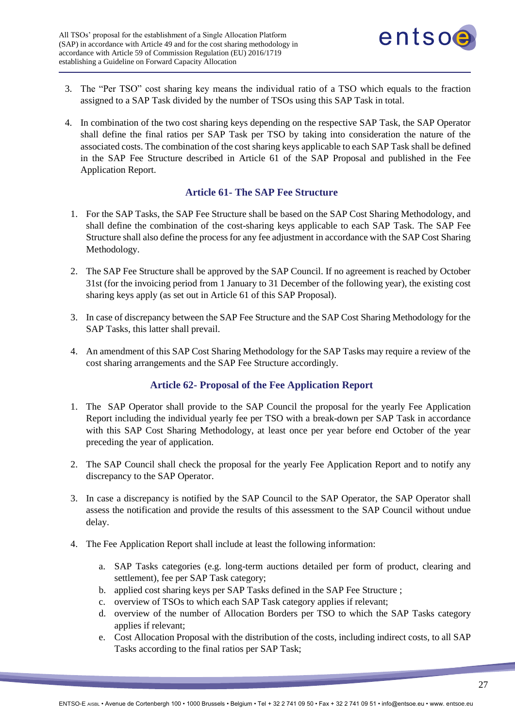

- 3. The "Per TSO" cost sharing key means the individual ratio of a TSO which equals to the fraction assigned to a SAP Task divided by the number of TSOs using this SAP Task in total.
- 4. In combination of the two cost sharing keys depending on the respective SAP Task, the SAP Operator shall define the final ratios per SAP Task per TSO by taking into consideration the nature of the associated costs. The combination of the cost sharing keys applicable to each SAP Task shall be defined in the SAP Fee Structure described in Article 61 of the SAP Proposal and published in the Fee Application Report.

# **Article 61- The SAP Fee Structure**

- <span id="page-26-0"></span>1. For the SAP Tasks, the SAP Fee Structure shall be based on the SAP Cost Sharing Methodology, and shall define the combination of the cost-sharing keys applicable to each SAP Task. The SAP Fee Structure shall also define the process for any fee adjustment in accordance with the SAP Cost Sharing Methodology.
- 2. The SAP Fee Structure shall be approved by the SAP Council. If no agreement is reached by October 31st (for the invoicing period from 1 January to 31 December of the following year), the existing cost sharing keys apply (as set out in Article 61 of this SAP Proposal).
- 3. In case of discrepancy between the SAP Fee Structure and the SAP Cost Sharing Methodology for the SAP Tasks, this latter shall prevail.
- 4. An amendment of this SAP Cost Sharing Methodology for the SAP Tasks may require a review of the cost sharing arrangements and the SAP Fee Structure accordingly.

# **Article 62- Proposal of the Fee Application Report**

- <span id="page-26-1"></span>1. The SAP Operator shall provide to the SAP Council the proposal for the yearly Fee Application Report including the individual yearly fee per TSO with a break-down per SAP Task in accordance with this SAP Cost Sharing Methodology, at least once per year before end October of the year preceding the year of application.
- 2. The SAP Council shall check the proposal for the yearly Fee Application Report and to notify any discrepancy to the SAP Operator.
- 3. In case a discrepancy is notified by the SAP Council to the SAP Operator, the SAP Operator shall assess the notification and provide the results of this assessment to the SAP Council without undue delay.
- 4. The Fee Application Report shall include at least the following information:
	- a. SAP Tasks categories (e.g. long-term auctions detailed per form of product, clearing and settlement), fee per SAP Task category;
	- b. applied cost sharing keys per SAP Tasks defined in the SAP Fee Structure ;
	- c. overview of TSOs to which each SAP Task category applies if relevant;
	- d. overview of the number of Allocation Borders per TSO to which the SAP Tasks category applies if relevant;
	- e. Cost Allocation Proposal with the distribution of the costs, including indirect costs, to all SAP Tasks according to the final ratios per SAP Task;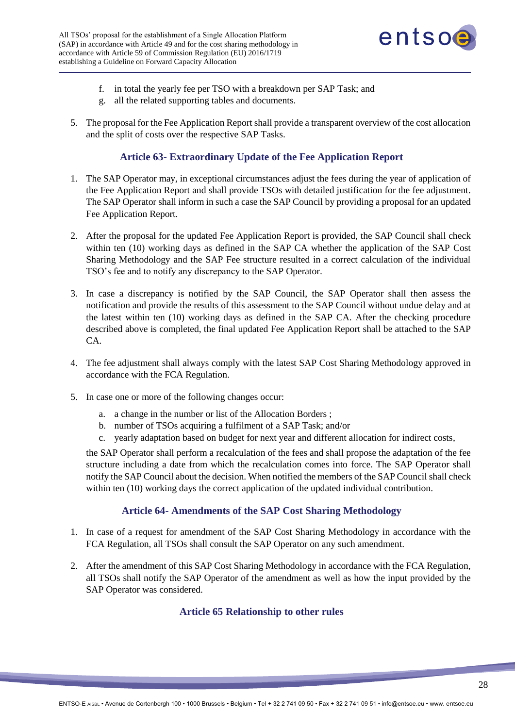

- f. in total the yearly fee per TSO with a breakdown per SAP Task; and
- g. all the related supporting tables and documents.
- 5. The proposal for the Fee Application Report shall provide a transparent overview of the cost allocation and the split of costs over the respective SAP Tasks.

# **Article 63- Extraordinary Update of the Fee Application Report**

- <span id="page-27-0"></span>1. The SAP Operator may, in exceptional circumstances adjust the fees during the year of application of the Fee Application Report and shall provide TSOs with detailed justification for the fee adjustment. The SAP Operator shall inform in such a case the SAP Council by providing a proposal for an updated Fee Application Report.
- 2. After the proposal for the updated Fee Application Report is provided, the SAP Council shall check within ten (10) working days as defined in the SAP CA whether the application of the SAP Cost Sharing Methodology and the SAP Fee structure resulted in a correct calculation of the individual TSO's fee and to notify any discrepancy to the SAP Operator.
- 3. In case a discrepancy is notified by the SAP Council, the SAP Operator shall then assess the notification and provide the results of this assessment to the SAP Council without undue delay and at the latest within ten (10) working days as defined in the SAP CA. After the checking procedure described above is completed, the final updated Fee Application Report shall be attached to the SAP CA.
- 4. The fee adjustment shall always comply with the latest SAP Cost Sharing Methodology approved in accordance with the FCA Regulation.
- 5. In case one or more of the following changes occur:
	- a. a change in the number or list of the Allocation Borders ;
	- b. number of TSOs acquiring a fulfilment of a SAP Task; and/or
	- c. yearly adaptation based on budget for next year and different allocation for indirect costs,

the SAP Operator shall perform a recalculation of the fees and shall propose the adaptation of the fee structure including a date from which the recalculation comes into force. The SAP Operator shall notify the SAP Council about the decision. When notified the members of the SAP Council shall check within ten (10) working days the correct application of the updated individual contribution.

## **Article 64- Amendments of the SAP Cost Sharing Methodology**

- <span id="page-27-1"></span>1. In case of a request for amendment of the SAP Cost Sharing Methodology in accordance with the FCA Regulation, all TSOs shall consult the SAP Operator on any such amendment.
- 2. After the amendment of this SAP Cost Sharing Methodology in accordance with the FCA Regulation, all TSOs shall notify the SAP Operator of the amendment as well as how the input provided by the SAP Operator was considered.

## <span id="page-27-2"></span>**Article 65 Relationship to other rules**